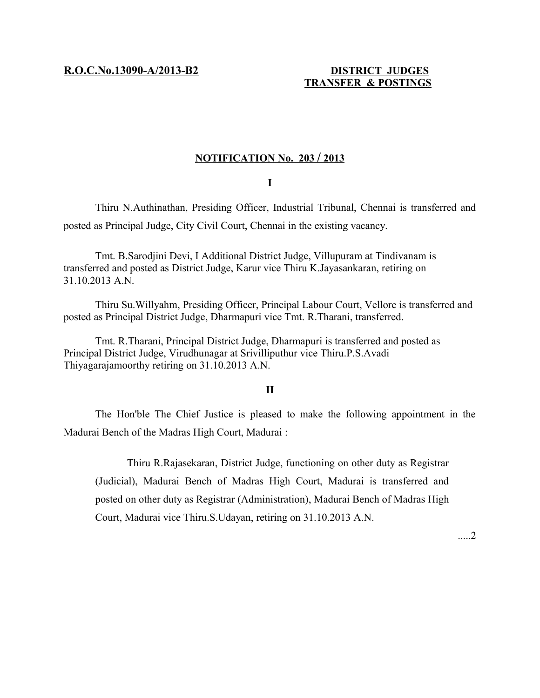**R.O.C.No.13090-A/2013-B2 DISTRICT JUDGES**

## **TRANSFER & POSTINGS**

### **NOTIFICATION No. 203 / 2013**

**I**

Thiru N.Authinathan, Presiding Officer, Industrial Tribunal, Chennai is transferred and posted as Principal Judge, City Civil Court, Chennai in the existing vacancy.

Tmt. B.Sarodjini Devi, I Additional District Judge, Villupuram at Tindivanam is transferred and posted as District Judge, Karur vice Thiru K.Jayasankaran, retiring on 31.10.2013 A.N.

Thiru Su.Willyahm, Presiding Officer, Principal Labour Court, Vellore is transferred and posted as Principal District Judge, Dharmapuri vice Tmt. R.Tharani, transferred.

Tmt. R.Tharani, Principal District Judge, Dharmapuri is transferred and posted as Principal District Judge, Virudhunagar at Srivilliputhur vice Thiru.P.S.Avadi Thiyagarajamoorthy retiring on 31.10.2013 A.N.

#### **II**

The Hon'ble The Chief Justice is pleased to make the following appointment in the Madurai Bench of the Madras High Court, Madurai :

Thiru R.Rajasekaran, District Judge, functioning on other duty as Registrar (Judicial), Madurai Bench of Madras High Court, Madurai is transferred and posted on other duty as Registrar (Administration), Madurai Bench of Madras High Court, Madurai vice Thiru.S.Udayan, retiring on 31.10.2013 A.N.

.....2